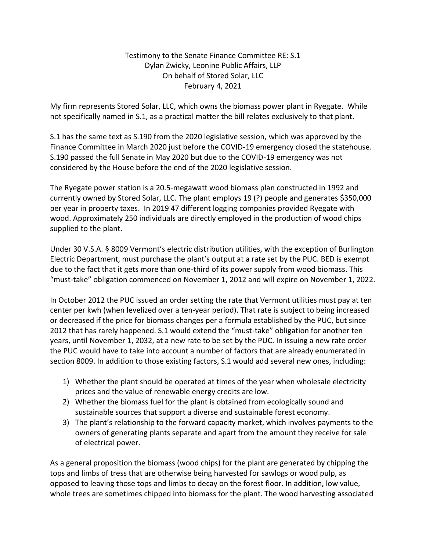## Testimony to the Senate Finance Committee RE: S.1 Dylan Zwicky, Leonine Public Affairs, LLP On behalf of Stored Solar, LLC February 4, 2021

My firm represents Stored Solar, LLC, which owns the biomass power plant in Ryegate. While not specifically named in S.1, as a practical matter the bill relates exclusively to that plant.

S.1 has the same text as S.190 from the 2020 legislative session, which was approved by the Finance Committee in March 2020 just before the COVID-19 emergency closed the statehouse. S.190 passed the full Senate in May 2020 but due to the COVID-19 emergency was not considered by the House before the end of the 2020 legislative session.

The Ryegate power station is a 20.5-megawatt wood biomass plan constructed in 1992 and currently owned by Stored Solar, LLC. The plant employs 19 (?) people and generates \$350,000 per year in property taxes. In 2019 47 different logging companies provided Ryegate with wood. Approximately 250 individuals are directly employed in the production of wood chips supplied to the plant.

Under 30 V.S.A. § 8009 Vermont's electric distribution utilities, with the exception of Burlington Electric Department, must purchase the plant's output at a rate set by the PUC. BED is exempt due to the fact that it gets more than one-third of its power supply from wood biomass. This "must-take" obligation commenced on November 1, 2012 and will expire on November 1, 2022.

In October 2012 the PUC issued an order setting the rate that Vermont utilities must pay at ten center per kwh (when levelized over a ten-year period). That rate is subject to being increased or decreased if the price for biomass changes per a formula established by the PUC, but since 2012 that has rarely happened. S.1 would extend the "must-take" obligation for another ten years, until November 1, 2032, at a new rate to be set by the PUC. In issuing a new rate order the PUC would have to take into account a number of factors that are already enumerated in section 8009. In addition to those existing factors, S.1 would add several new ones, including:

- 1) Whether the plant should be operated at times of the year when wholesale electricity prices and the value of renewable energy credits are low.
- 2) Whether the biomass fuel for the plant is obtained from ecologically sound and sustainable sources that support a diverse and sustainable forest economy.
- 3) The plant's relationship to the forward capacity market, which involves payments to the owners of generating plants separate and apart from the amount they receive for sale of electrical power.

As a general proposition the biomass (wood chips) for the plant are generated by chipping the tops and limbs of tress that are otherwise being harvested for sawlogs or wood pulp, as opposed to leaving those tops and limbs to decay on the forest floor. In addition, low value, whole trees are sometimes chipped into biomass for the plant. The wood harvesting associated